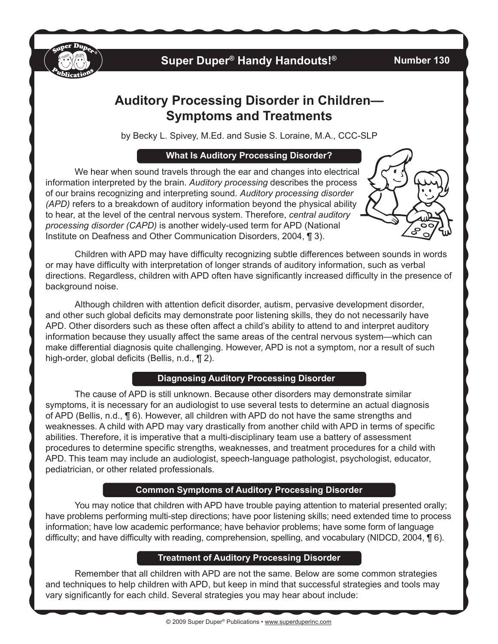

# **Super Duper® Handy Handouts!®**

### **Number 130**

# **Auditory Processing Disorder in Children— Symptoms and Treatments**

by Becky L. Spivey, M.Ed. and Susie S. Loraine, M.A., CCC-SLP

## **What Is Auditory Processing Disorder?**

We hear when sound travels through the ear and changes into electrical information interpreted by the brain. *Auditory processing* describes the process of our brains recognizing and interpreting sound. *Auditory processing disorder (APD)* refers to a breakdown of auditory information beyond the physical ability to hear, at the level of the central nervous system. Therefore, *central auditory processing disorder (CAPD)* is another widely-used term for APD (National Institute on Deafness and Other Communication Disorders, 2004, ¶ 3).



Children with APD may have difficulty recognizing subtle differences between sounds in words or may have difficulty with interpretation of longer strands of auditory information, such as verbal directions. Regardless, children with APD often have significantly increased difficulty in the presence of background noise.

Although children with attention deficit disorder, autism, pervasive development disorder, and other such global deficits may demonstrate poor listening skills, they do not necessarily have APD. Other disorders such as these often affect a child's ability to attend to and interpret auditory information because they usually affect the same areas of the central nervous system—which can make differential diagnosis quite challenging. However, APD is not a symptom, nor a result of such high-order, global deficits (Bellis, n.d., ¶ 2).

# **Diagnosing Auditory Processing Disorder**

The cause of APD is still unknown. Because other disorders may demonstrate similar symptoms, it is necessary for an audiologist to use several tests to determine an actual diagnosis of APD (Bellis, n.d., ¶ 6). However, all children with APD do not have the same strengths and weaknesses. A child with APD may vary drastically from another child with APD in terms of specific abilities. Therefore, it is imperative that a multi-disciplinary team use a battery of assessment procedures to determine specific strengths, weaknesses, and treatment procedures for a child with APD. This team may include an audiologist, speech-language pathologist, psychologist, educator, pediatrician, or other related professionals.

# **Common Symptoms of Auditory Processing Disorder**

You may notice that children with APD have trouble paying attention to material presented orally; have problems performing multi-step directions; have poor listening skills; need extended time to process information; have low academic performance; have behavior problems; have some form of language difficulty; and have difficulty with reading, comprehension, spelling, and vocabulary (NIDCD, 2004, ¶ 6).

## **Treatment of Auditory Processing Disorder**

Remember that all children with APD are not the same. Below are some common strategies and techniques to help children with APD, but keep in mind that successful strategies and tools may vary significantly for each child. Several strategies you may hear about include: